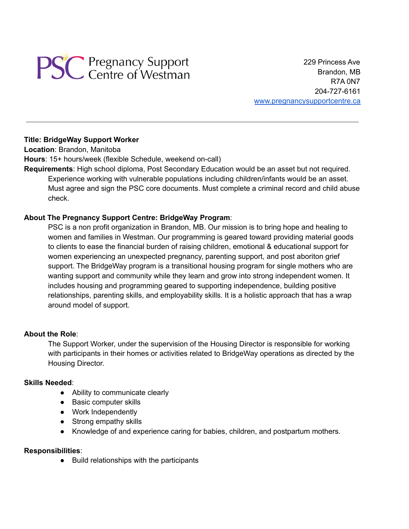

229 Princess Ave Brandon, MB R7A 0N7 204-727-6161 [www.pregnancysupportcentre.ca](http://www.pregnancysupportcentre.ca)

## **Title: BridgeWay Support Worker**

**Location**: Brandon, Manitoba

**Hours**: 15+ hours/week (flexible Schedule, weekend on-call)

**Requirements**: High school diploma, Post Secondary Education would be an asset but not required. Experience working with vulnerable populations including children/infants would be an asset. Must agree and sign the PSC core documents. Must complete a criminal record and child abuse check.

# **About The Pregnancy Support Centre: BridgeWay Program**:

PSC is a non profit organization in Brandon, MB. Our mission is to bring hope and healing to women and families in Westman. Our programming is geared toward providing material goods to clients to ease the financial burden of raising children, emotional & educational support for women experiencing an unexpected pregnancy, parenting support, and post aboriton grief support. The BridgeWay program is a transitional housing program for single mothers who are wanting support and community while they learn and grow into strong independent women. It includes housing and programming geared to supporting independence, building positive relationships, parenting skills, and employability skills. It is a holistic approach that has a wrap around model of support.

### **About the Role**:

The Support Worker, under the supervision of the Housing Director is responsible for working with participants in their homes or activities related to BridgeWay operations as directed by the Housing Director.

### **Skills Needed**:

- Ability to communicate clearly
- Basic computer skills
- Work Independently
- Strong empathy skills
- Knowledge of and experience caring for babies, children, and postpartum mothers.

### **Responsibilities**:

● Build relationships with the participants